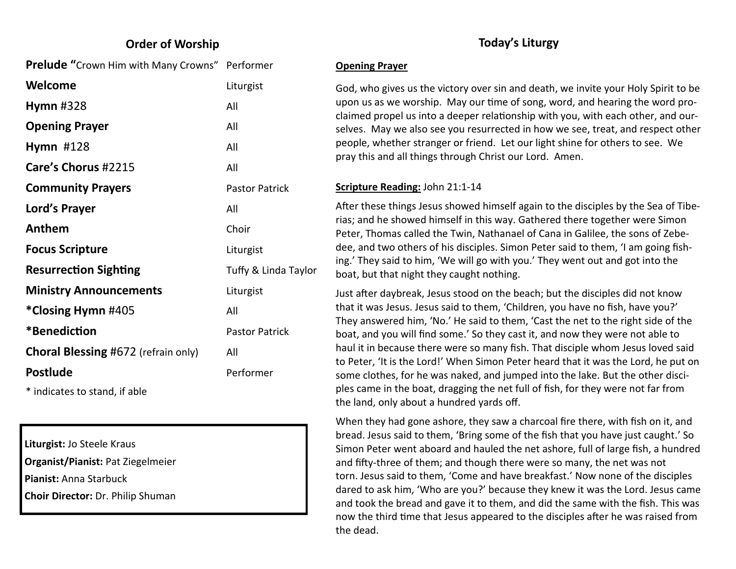### **Order of Worship**

**Prelude "**Crown Him with Many Crowns" Performer

| Welcome                                    | Liturgist             |
|--------------------------------------------|-----------------------|
| Hymn $#328$                                | All                   |
| <b>Opening Prayer</b>                      | All                   |
| Hymn $#128$                                | All                   |
| Care's Chorus #2215                        | All                   |
| <b>Community Prayers</b>                   | <b>Pastor Patrick</b> |
| Lord's Prayer                              | All                   |
| Anthem                                     | Choir                 |
| <b>Focus Scripture</b>                     | Liturgist             |
| <b>Resurrection Sighting</b>               | Tuffy & Linda Taylor  |
| <b>Ministry Announcements</b>              | Liturgist             |
| *Closing Hymn #405                         | All                   |
| *Benediction                               | <b>Pastor Patrick</b> |
| <b>Choral Blessing #672 (refrain only)</b> | All                   |
| <b>Postlude</b>                            | Performer             |
|                                            |                       |

\* indicates to stand, if able

**Liturgist:** Jo Steele Kraus **Organist/Pianist:** Pat Ziegelmeier **Pianist:** Anna Starbuck **Choir Director:** Dr. Philip Shuman

### **Today's Liturgy**

#### **Opening Prayer**

God, who gives us the victory over sin and death, we invite your Holy Spirit to be upon us as we worship. May our time of song, word, and hearing the word proclaimed propel us into a deeper relationship with you, with each other, and ourselves. May we also see you resurrected in how we see, treat, and respect other people, whether stranger or friend. Let our light shine for others to see. We pray this and all things through Christ our Lord. Amen.

#### **Scripture Reading:** John 21:1-14

After these things Jesus showed himself again to the disciples by the Sea of Tiberias; and he showed himself in this way. Gathered there together were Simon Peter, Thomas called the Twin, Nathanael of Cana in Galilee, the sons of Zebedee, and two others of his disciples. Simon Peter said to them, 'I am going fishing.' They said to him, 'We will go with you.' They went out and got into the boat, but that night they caught nothing.

Just after daybreak, Jesus stood on the beach; but the disciples did not know that it was Jesus. Jesus said to them, 'Children, you have no fish, have you?' They answered him, 'No.' He said to them, 'Cast the net to the right side of the boat, and you will find some.' So they cast it, and now they were not able to haul it in because there were so many fish. That disciple whom Jesus loved said to Peter, 'It is the Lord!' When Simon Peter heard that it was the Lord, he put on some clothes, for he was naked, and jumped into the lake. But the other disciples came in the boat, dragging the net full of fish, for they were not far from the land, only about a hundred yards off.

When they had gone ashore, they saw a charcoal fire there, with fish on it, and bread. Jesus said to them, 'Bring some of the fish that you have just caught.' So Simon Peter went aboard and hauled the net ashore, full of large fish, a hundred and fifty-three of them; and though there were so many, the net was not torn. Jesus said to them, 'Come and have breakfast.' Now none of the disciples dared to ask him, 'Who are you?' because they knew it was the Lord. Jesus came and took the bread and gave it to them, and did the same with the fish. This was now the third time that Jesus appeared to the disciples after he was raised from the dead.